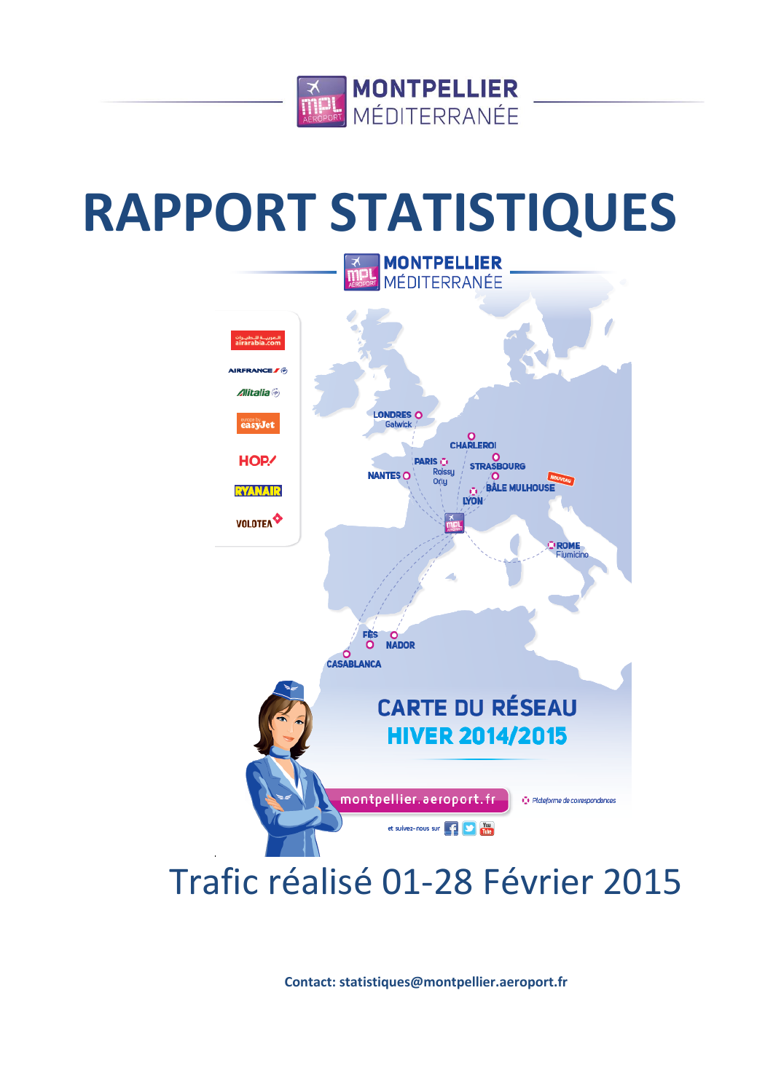

# **RAPPORT STATISTIQUES**



## Trafic réalisé 01-28 Février 2015

**Contact: statistiques@montpellier.aeroport.fr**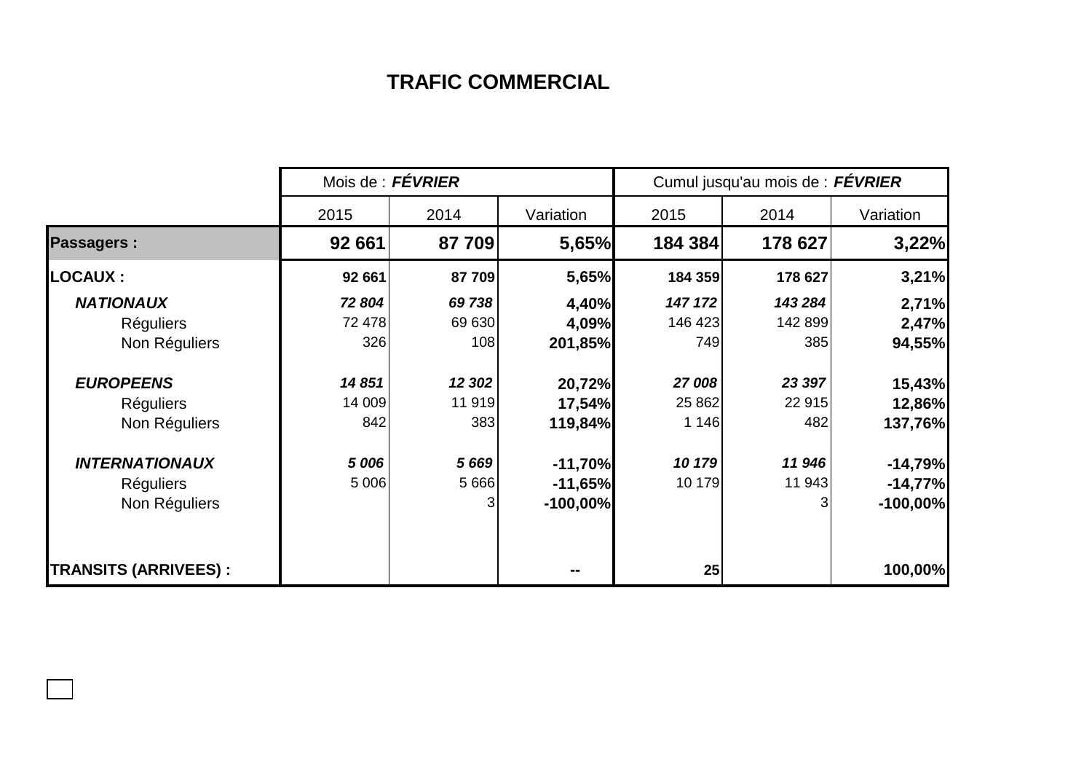## **TRAFIC COMMERCIAL**

|                             | Mois de : FÉVRIER |         |            | Cumul jusqu'au mois de : FÉVRIER |         |             |  |
|-----------------------------|-------------------|---------|------------|----------------------------------|---------|-------------|--|
|                             | 2015              | 2014    | Variation  | 2015                             | 2014    | Variation   |  |
| <b>Passagers:</b>           | 92 661            | 87 709  | 5,65%      | 184 384                          | 178 627 | 3,22%       |  |
| <b>LOCAUX:</b>              | 92 661            | 87 709  | 5,65%      | 184 359                          | 178 627 | 3,21%       |  |
| <b>NATIONAUX</b>            | 72 804            | 69 738  | 4,40%      | 147 172                          | 143 284 | 2,71%       |  |
| <b>Réguliers</b>            | 72 478            | 69 630  | 4,09%      | 146 423                          | 142 899 | 2,47%       |  |
| Non Réguliers               | 326               | 108     | 201,85%    | 749I                             | 385     | 94,55%      |  |
| <b>EUROPEENS</b>            | 14851             | 12 302  | 20,72%     | 27 008                           | 23 397  | 15,43%      |  |
| <b>Réguliers</b>            | 14 009            | 11 919  | 17,54%     | 25 862                           | 22 915  | 12,86%      |  |
| Non Réguliers               | 842               | 383     | 119,84%    | 1 1 4 6                          | 482     | 137,76%     |  |
| <b>INTERNATIONAUX</b>       | 5 006             | 5669    | $-11,70%$  | 10 179                           | 11 946  | $-14,79%$   |  |
| <b>Réguliers</b>            | 5 0 0 6           | 5 6 6 6 | $-11,65%$  | 10 179                           | 11 943  | $-14,77%$   |  |
| Non Réguliers               |                   | 3       | $-100,00%$ |                                  | 3       | $-100,00\%$ |  |
| <b>TRANSITS (ARRIVEES):</b> |                   |         |            | 25                               |         | 100,00%     |  |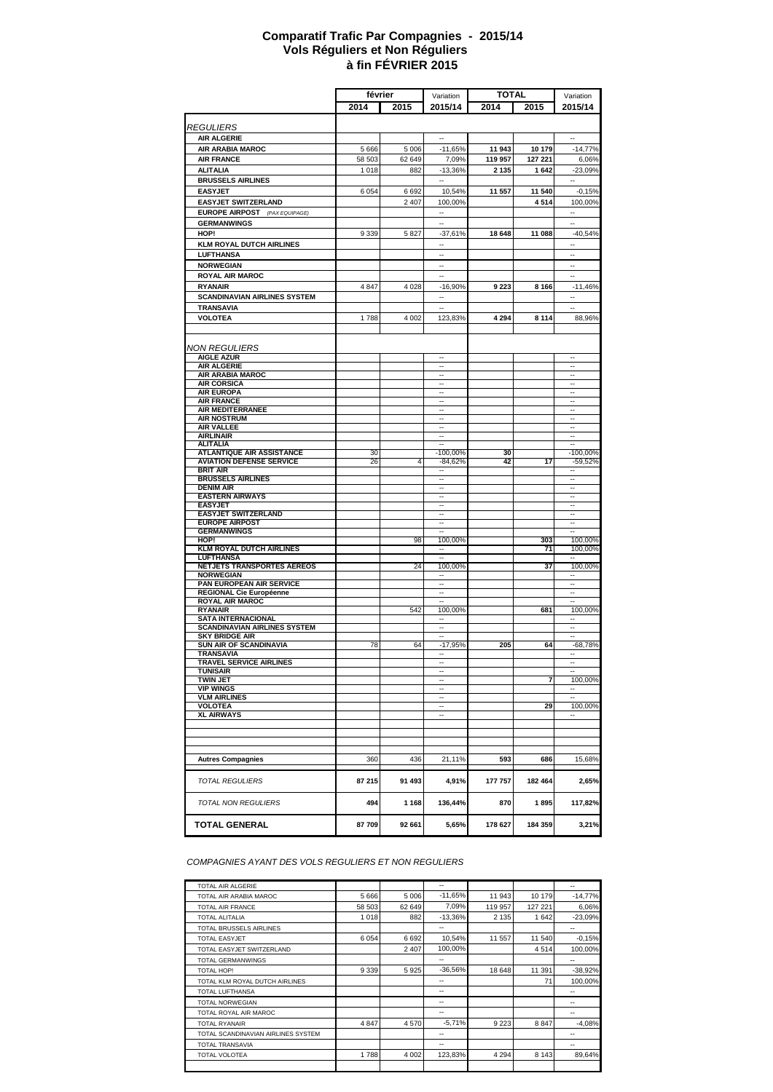#### **à fin FÉVRIER 2015 Comparatif Trafic Par Compagnies - 2015/14 Vols Réguliers et Non Réguliers**

|                                                     | février |         |                          | <b>TOTAL</b> |         |                          |
|-----------------------------------------------------|---------|---------|--------------------------|--------------|---------|--------------------------|
|                                                     |         |         | Variation                |              |         | Variation                |
|                                                     | 2014    | 2015    | 2015/14                  | 2014         | 2015    | 2015/14                  |
| <b>REGULIERS</b>                                    |         |         |                          |              |         |                          |
| <b>AIR ALGERIE</b>                                  |         |         | ۰.                       |              |         | ۰.                       |
| AIR ARABIA MAROC                                    | 5 6 6 6 | 5 0 0 6 | $-11,65%$                | 11 943       | 10 179  | $-14,77%$                |
| <b>AIR FRANCE</b>                                   | 58 503  | 62 649  | 7,09%                    | 119 957      | 127 221 | 6,06%                    |
| <b>ALITALIA</b>                                     | 1 0 1 8 | 882     | $-13,36%$                | 2 1 3 5      | 1642    | $-23,09%$                |
| <b>BRUSSELS AIRLINES</b>                            |         |         |                          |              |         |                          |
| <b>EASYJET</b>                                      | 6 0 5 4 | 6692    | 10,54%                   | 11 557       | 11 540  | $-0,15%$                 |
| <b>EASYJET SWITZERLAND</b>                          |         | 2 4 0 7 | 100,00%                  |              | 4514    | 100,00%                  |
| <b>EUROPE AIRPOST</b> (PAX EQUIPAGE)                |         |         | $\sim$                   |              |         | $\overline{\phantom{a}}$ |
| <b>GERMANWINGS</b>                                  |         |         |                          |              |         |                          |
| HOP!                                                | 9 3 3 9 | 5 8 2 7 | $-37,61%$                | 18 648       | 11 088  | $-40,54%$                |
| <b>KLM ROYAL DUTCH AIRLINES</b>                     |         |         | $\overline{a}$           |              |         | ÷.                       |
| <b>LUFTHANSA</b>                                    |         |         |                          |              |         |                          |
| <b>NORWEGIAN</b>                                    |         |         | $\sim$                   |              |         | ÷.                       |
| <b>ROYAL AIR MAROC</b>                              |         |         | $\overline{\phantom{a}}$ |              |         | --                       |
| <b>RYANAIR</b>                                      | 4 8 4 7 | 4 0 28  | $-16,90%$                | 9 2 2 3      | 8 1 6 6 | $-11,46%$                |
| <b>SCANDINAVIAN AIRLINES SYSTEM</b>                 |         |         |                          |              |         |                          |
| <b>TRANSAVIA</b>                                    |         |         | ÷.                       |              |         | ÷.                       |
| <b>VOLOTEA</b>                                      | 1788    | 4 0 0 2 | 123,83%                  | 4 2 9 4      | 8 1 1 4 | 88,96%                   |
|                                                     |         |         |                          |              |         |                          |
|                                                     |         |         |                          |              |         |                          |
| <b>NON REGULIERS</b>                                |         |         |                          |              |         |                          |
| <b>AIGLE AZUR</b>                                   |         |         | $\ddotsc$                |              |         | н.                       |
| <b>AIR ALGERIE</b>                                  |         |         | ÷.                       |              |         | ÷.                       |
| <b>AIR ARABIA MAROC</b>                             |         |         | $\sim$                   |              |         | ä.                       |
| <b>AIR CORSICA</b>                                  |         |         |                          |              |         |                          |
| <b>AIR EUROPA</b><br><b>AIR FRANCE</b>              |         |         | $\overline{\phantom{a}}$ |              |         | $\overline{\phantom{a}}$ |
| <b>AIR MEDITERRANEE</b>                             |         |         | $\overline{\phantom{a}}$ |              |         | $\overline{\phantom{a}}$ |
| <b>AIR NOSTRUM</b>                                  |         |         |                          |              |         |                          |
| <b>AIR VALLEE</b>                                   |         |         | $\overline{\phantom{a}}$ |              |         | $\overline{\phantom{a}}$ |
| <b>AIRLINAIR</b>                                    |         |         |                          |              |         | ٠.                       |
| <b>ALITALIA</b><br><b>ATLANTIQUE AIR ASSISTANCE</b> | 30      |         | ٠.<br>-100,00%           | 30           |         | ٠.<br>$-100,00%$         |
| <b>AVIATION DEFENSE SERVICE</b>                     | 26      | 4       | $-84,62%$                | 42           | 17      | $-59,52%$                |
| <b>BRIT AIR</b>                                     |         |         |                          |              |         |                          |
| <b>BRUSSELS AIRLINES</b>                            |         |         | ٠.                       |              |         | ٠.                       |
| <b>DENIM AIR</b>                                    |         |         |                          |              |         |                          |
| <b>EASTERN AIRWAYS</b><br><b>EASYJET</b>            |         |         | ۰.<br>$\ddotsc$          |              |         | ۰.<br>$\ddotsc$          |
| <b>EASYJET SWITZERLAND</b>                          |         |         | ÷.                       |              |         | ÷.                       |
| <b>EUROPE AIRPOST</b>                               |         |         | $\sim$                   |              |         | ä.                       |
| <b>GERMANWINGS</b>                                  |         |         |                          |              |         | --                       |
| HOP!                                                |         | 98      | 100,00%                  |              | 303     | 100,00%                  |
| <b>KLM ROYAL DUTCH AIRLINES</b>                     |         |         |                          |              | 71      | 100,00%                  |
| LUFTHANSA<br>NETJETS TRANSPORTES AEREOS             |         | 24      | 100,00%                  |              | 37      | 100,00%                  |
| <b>NORWEGIAN</b>                                    |         |         | н.                       |              |         | ۰.                       |
| PAN EUROPEAN AIR SERVICE                            |         |         | ÷.                       |              |         | ÷.                       |
| <b>REGIONAL Cie Européenne</b>                      |         |         | $\sim$                   |              |         | ä.                       |
| <b>ROYAL AIR MAROC</b>                              |         |         |                          |              |         |                          |
| <b>RYANAIR</b><br><b>SATA INTERNACIONAL</b>         |         | 542     | 100,00%                  |              | 681     | 100,00%                  |
| <b>SCANDINAVIAN AIRLINES SYSTEM</b>                 |         |         | $\overline{a}$           |              |         | ÷.                       |
| <b>SKY BRIDGE AIR</b>                               |         |         |                          |              |         |                          |
| <b>SUN AIR OF SCANDINAVIA</b>                       | 78      | 64      | $-17,95%$                | 205          | 64      | $-68,78%$                |
| TRANSAVIA                                           |         |         |                          |              |         |                          |
| <b>TRAVEL SERVICE AIRLINES</b>                      |         |         | ÷.                       |              |         | ÷.                       |
| TUNISAIR<br><b>TWIN JET</b>                         |         |         | ۰.                       |              | 7       | 100,00%                  |
| <b>VIP WINGS</b>                                    |         |         |                          |              |         |                          |
| <b>VLM AIRLINES</b>                                 |         |         | ۰.                       |              |         |                          |
| VOLOTEA                                             |         |         | ⊷                        |              | 29      | 100,00%                  |
| <b>XL AIRWAYS</b>                                   |         |         | $\overline{\phantom{a}}$ |              |         | ۰.                       |
|                                                     |         |         |                          |              |         |                          |
|                                                     |         |         |                          |              |         |                          |
|                                                     |         |         |                          |              |         |                          |
| <b>Autres Compagnies</b>                            | 360     | 436     | 21,11%                   | 593          | 686     | 15,68%                   |
|                                                     |         |         |                          |              |         |                          |
| <b>TOTAL REGULIERS</b>                              | 87 215  | 91 493  | 4,91%                    | 177 757      | 182 464 | 2,65%                    |
|                                                     |         |         |                          |              |         |                          |
| <b>TOTAL NON REGULIERS</b>                          | 494     | 1 1 6 8 | 136,44%                  | 870          | 1895    | 117,82%                  |
| <b>TOTAL GENERAL</b>                                | 87709   | 92 661  | 5,65%                    | 178 627      | 184 359 | 3,21%                    |

*COMPAGNIES AYANT DES VOLS REGULIERS ET NON REGULIERS*

| TOTAL AIR ALGERIE                  |         |         | --        |         |         | --        |
|------------------------------------|---------|---------|-----------|---------|---------|-----------|
| TOTAL AIR ARABIA MAROC             | 5 6 6 6 | 5 0 0 6 | $-11.65%$ | 11 943  | 10 179  | $-14.77%$ |
| <b>TOTAL AIR FRANCE</b>            | 58 503  | 62 649  | 7.09%     | 119 957 | 127 221 | 6,06%     |
| <b>TOTAL ALITALIA</b>              | 1 0 1 8 | 882     | $-13,36%$ | 2 1 3 5 | 1642    | $-23,09%$ |
| TOTAL BRUSSELS AIRLINES            |         |         | --        |         |         | --        |
| <b>TOTAL EASYJET</b>               | 6 0 5 4 | 6 6 9 2 | 10,54%    | 11 557  | 11 540  | $-0.15%$  |
| TOTAL FASYJET SWITZERLAND          |         | 2 4 0 7 | 100.00%   |         | 4514    | 100.00%   |
| <b>TOTAL GERMANWINGS</b>           |         |         | --        |         |         | --        |
| <b>TOTAL HOP!</b>                  | 9 3 3 9 | 5925    | $-36.56%$ | 18 648  | 11 391  | $-38,92%$ |
| TOTAL KLM ROYAL DUTCH AIRLINES     |         |         | --        |         | 71      | 100,00%   |
| <b>TOTAL LUFTHANSA</b>             |         |         | --        |         |         | --        |
| <b>TOTAL NORWEGIAN</b>             |         |         | --        |         |         | --        |
| TOTAL ROYAL AIR MAROC              |         |         | --        |         |         | --        |
| <b>TOTAL RYANAIR</b>               | 4 8 4 7 | 4 5 7 0 | $-5.71%$  | 9 2 2 3 | 8847    | $-4.08%$  |
| TOTAL SCANDINAVIAN AIRLINES SYSTEM |         |         | $- -$     |         |         | --        |
| <b>TOTAL TRANSAVIA</b>             |         |         | --        |         |         | --        |
| TOTAL VOLOTEA                      | 1788    | 4 0 0 2 | 123.83%   | 4 2 9 4 | 8 1 4 3 | 89.64%    |
|                                    |         |         |           |         |         |           |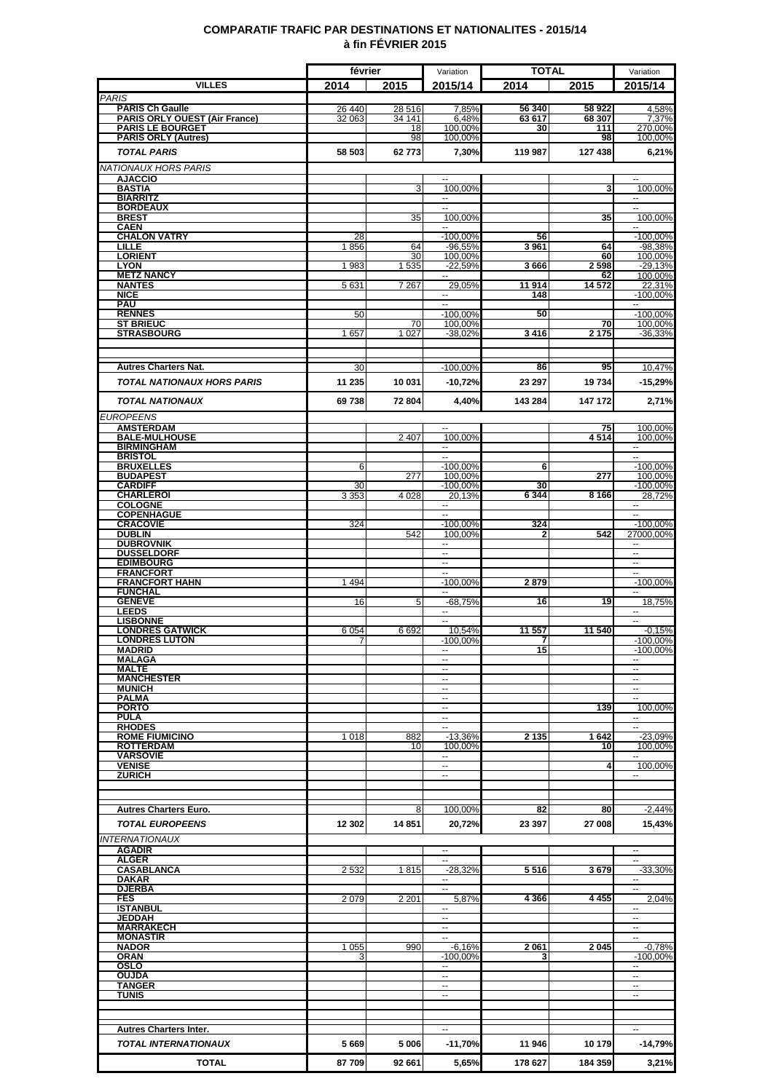### **COMPARATIF TRAFIC PAR DESTINATIONS ET NATIONALITES - 2015/14 à fin FÉVRIER 2015**

|                                                       | février |          | Variation                      | <b>TOTAL</b> |              | Variation                      |
|-------------------------------------------------------|---------|----------|--------------------------------|--------------|--------------|--------------------------------|
| <b>VILLES</b>                                         | 2014    | 2015     | 2015/14                        | 2014         | 2015         | 2015/14                        |
| <b>PARIS</b><br><b>PARIS Ch Gaulle</b>                | 26 440  | 28 516   | 7.85%                          | 56 340       | 58 922       | 4.58%                          |
| <b>PARIS ORLY OUEST (Air France)</b>                  | 32 063  | 34 141   | 6,48%                          | 63 617       | 68 307       | 7,37%                          |
| <b>PARIS LE BOURGET</b><br><b>PARIS ORLY (Autres)</b> |         | 18<br>98 | 100,00%<br>100,00%             | 30           | 111<br>98    | 270,00%<br>100,00%             |
| <b>TOTAL PARIS</b>                                    | 58 503  | 62773    | 7,30%                          | 119 987      | 127 438      | 6,21%                          |
| <b>NATIONAUX HORS PARIS</b>                           |         |          |                                |              |              |                                |
| <b>AJACCIO</b>                                        |         |          | н.                             |              |              | --                             |
| <b>BASTIA</b><br><b>BIARRITZ</b>                      |         | 3        | 100,00%<br>$\sim$              |              | 3            | 100,00%<br>Ξ.                  |
| <b>BORDEAUX</b>                                       |         |          |                                |              |              |                                |
| <b>BREST</b><br><b>CAEN</b>                           |         | 35       | 100.00%                        |              | 35           | 100,00%<br>$\sim$              |
| <b>CHALON VATRY</b>                                   | 28      |          | $-100,00%$                     | 56           |              | $-100.00\%$                    |
| LILLE<br><b>LORIENT</b>                               | 1856    | 64<br>30 | $-96,55%$<br>100,00%           | 3961         | 64<br>60     | $-98,38%$<br>100,00%           |
| <b>LYON</b>                                           | 1983    | 1535     | $-22.59%$                      | 3666         | 2598         | $-29,13%$                      |
| <b>METZ NANCY</b><br><b>NANTES</b>                    | 5631    | 7 2 6 7  | 29,05%                         | 11914        | 62<br>14 572 | 100,00%<br>22,31%              |
| <b>NICE</b>                                           |         |          |                                | 148          |              | $-100,00\%$                    |
| <b>PAU</b><br><b>RENNES</b>                           | 50      |          | $\overline{a}$<br>$-100,00%$   | 50           |              | $-100,00%$                     |
| <b>ST BRIEUC</b>                                      |         | 70       | 100,00%                        |              | 70           | 100,00%                        |
| <b>STRASBOURG</b>                                     | 1657    | 1 0 27   | $-38,02%$                      | 3416         | 2 1 7 5      | $-36,33%$                      |
|                                                       |         |          |                                |              |              |                                |
| <b>Autres Charters Nat.</b>                           | 30      |          | $-100,00%$                     | 86           | 95           | 10,47%                         |
| <b>TOTAL NATIONAUX HORS PARIS</b>                     | 11 235  | 10 031   | -10,72%                        | 23 297       | 19734        | $-15,29%$                      |
| <b>TOTAL NATIONAUX</b>                                | 69738   | 72 804   | 4,40%                          | 143 284      | 147 172      | 2,71%                          |
| <b>EUROPEENS</b>                                      |         |          |                                |              |              |                                |
| <b>AMSTERDAM</b>                                      |         |          | --                             |              | 75           | 100.00%                        |
| <b>BALE-MULHOUSE</b><br><b>BIRMINGHAM</b>             |         | 2 4 0 7  | 100,00%<br>۰.                  |              | 4514         | 100,00%<br>۰.                  |
| <b>BRISTOL</b>                                        |         |          | $\sim$                         |              |              | $\sim$                         |
| <b>BRUXELLES</b><br><b>BUDAPEST</b>                   | 6       | 277      | $-100,00%$<br>100,00%          | 6            | 277          | $-100,00%$<br>100,00%          |
| <b>CARDIFF</b>                                        | 30      |          | $-100,00%$                     | 30           |              | $-100,00%$                     |
| <b>CHARLEROI</b><br><b>COLOGNE</b>                    | 3 3 5 3 | 4 0 28   | 20,13%                         | 6344         | 8 1 6 6      | 28.72%                         |
| <b>COPENHAGUE</b><br><b>CRACOVIE</b>                  |         |          | $\overline{a}$                 | 324          |              |                                |
| <b>DUBLIN</b>                                         | 324     | 542      | $-100,00%$<br>100.00%          | 2            | 542          | $-100,00%$<br>27000.00%        |
| <b>DUBROVNIK</b><br><b>DUSSELDORF</b>                 |         |          | $\mathbf{u}$                   |              |              | $\overline{a}$                 |
| <b>EDIMBOURG</b>                                      |         |          | --                             |              |              | $\overline{\phantom{a}}$       |
| <b>FRANCFORT</b><br><b>FRANCFORT HAHN</b>             | 1494    |          | H<br>$-100,00%$                | 2879         |              | ÷.<br>$-100,00%$               |
| <b>FUNCHAL</b>                                        |         |          | $\overline{\phantom{a}}$       |              |              | $\sim$                         |
| <b>GENEVE</b><br><b>LEEDS</b>                         | 16      | 5        | $-68,75%$<br>$\sim$            | 16           | 19           | 18,75%<br>$\sim$               |
| <b>LISBONNE</b>                                       |         |          |                                |              |              |                                |
| <b>LONDRES GATWICK</b><br><b>LONDRES LUTON</b>        | 6054    | 6692     | 10,54%<br>$-100,00%$           | 11 557<br>7  | 11 540       | $-0,15%$<br>-100,00%           |
| <b>MADRID</b>                                         |         |          | --                             | 15           |              | $-100,00%$                     |
| <b>MALAGA</b><br><b>MALTE</b>                         |         |          | $\sim$<br>$\overline{a}$       |              |              | $\overline{\phantom{a}}$       |
| <b>MANCHESTER</b>                                     |         |          | $\sim$                         |              |              | $\sim$                         |
| <b>MUNICH</b><br><b>PALMA</b>                         |         |          | ۰.<br>$\overline{\phantom{a}}$ |              |              | $\overline{\phantom{a}}$       |
| <b>PORTO</b>                                          |         |          | $\overline{\phantom{a}}$       |              | 139          | 100.00%                        |
| <b>PULA</b><br><b>RHODES</b>                          |         |          | $\overline{\phantom{a}}$<br>۰. |              |              | $\overline{\phantom{a}}$<br>۰. |
| <b>ROME FIUMICINO</b>                                 | 1018    | 882      | $-13,36%$                      | 2 1 3 5      | 1642         | $-23,09%$                      |
| <b>ROTTERDAM</b><br><b>VARSOVIE</b>                   |         | 10       | 100,00%                        |              | 10           | 100,00%                        |
| <b>VENISE</b>                                         |         |          | −−                             |              | 4            | 100,00%                        |
| <b>ZURICH</b>                                         |         |          |                                |              |              |                                |
|                                                       |         |          |                                |              |              |                                |
| <b>Autres Charters Euro.</b>                          |         | 8        | 100.00%                        | 82           | 80           | $-2,44%$                       |
| <b>TOTAL EUROPEENS</b>                                | 12 302  | 14851    | 20,72%                         | 23 397       | 27 008       | 15,43%                         |
| <b>INTERNATIONAUX</b><br><b>AGADIR</b>                |         |          | $\overline{a}$                 |              |              |                                |
| <b>ALGER</b>                                          |         |          | $\sim$                         |              |              | $\overline{\phantom{a}}$       |
| <b>CASABLANCA</b>                                     | 2532    | 1815     | $-28,32%$                      | 5516         | 3679         | $-33,30%$                      |
| <b>DAKAR</b><br><b>DJERBA</b>                         |         |          | −−<br>$\overline{a}$           |              |              | $\overline{\phantom{a}}$<br>÷. |
| <b>FES</b><br><b>ISTANBUL</b>                         | 2079    | 2 2 0 1  | 5,87%<br>$\sim$                | 4 3 6 6      | 4455         | 2,04%<br>$\sim$                |
| JEDDAH                                                |         |          | $\overline{\phantom{a}}$       |              |              | ۰.                             |
| <b>MARRAKECH</b><br><b>MONASTIR</b>                   |         |          | $\overline{\phantom{a}}$<br>-- |              |              | $\sim$<br>$\sim$               |
| <b>NADOR</b>                                          | 1 0 5 5 | 990      | $-6,16%$                       | 2061         | 2045         | $-0,78%$                       |
| <b>ORAN</b><br><b>OSLO</b>                            |         |          | $-100,00%$<br>$\sim$           | 3            |              | $-100,00%$                     |
| <b>OUJDA</b>                                          |         |          | --                             |              |              |                                |
| <b>TANGER</b><br><b>TUNIS</b>                         |         |          | $\overline{a}$                 |              |              | $\overline{\phantom{a}}$       |
|                                                       |         |          |                                |              |              |                                |
|                                                       |         |          |                                |              |              |                                |
| <b>Autres Charters Inter.</b>                         |         |          | $\sim$                         |              |              | ÷.                             |
| <b>TOTAL INTERNATIONAUX</b>                           | 5669    | 5 0 0 6  | -11,70%                        | 11 946       | 10 179       | $-14,79%$                      |
| <b>TOTAL</b>                                          | 87709   | 92 661   | 5,65%                          | 178 627      | 184 359      | 3,21%                          |